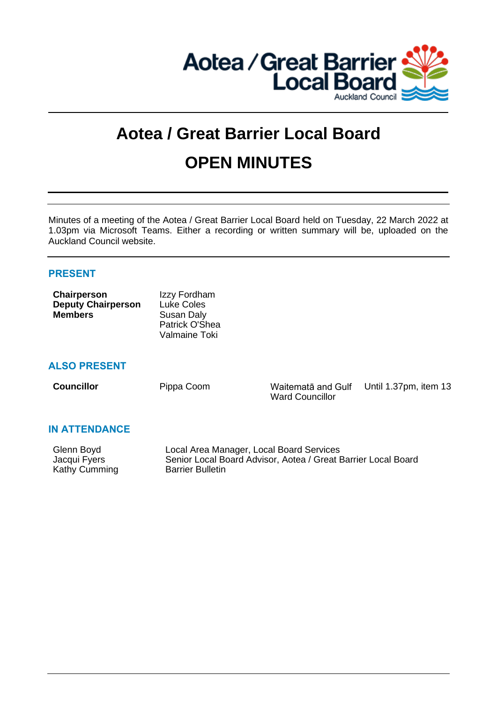

# **Aotea / Great Barrier Local Board OPEN MINUTES**

Minutes of a meeting of the Aotea / Great Barrier Local Board held on Tuesday, 22 March 2022 at 1.03pm via Microsoft Teams. Either a recording or written summary will be, uploaded on the Auckland Council website.

## **PRESENT**

| <b>Chairperson</b>        | Izzy Fordham   |
|---------------------------|----------------|
| <b>Deputy Chairperson</b> | Luke Coles     |
| <b>Members</b>            | Susan Daly     |
|                           | Patrick O'Shea |
|                           | Valmaine Toki  |

# **ALSO PRESENT**

**Councillor** Pippa Coom Waitemata and Gulf Ward Councillor

Until 1.37pm, item 13

## **IN ATTENDANCE**

| Glenn Boyd    | Local Area Manager, Local Board Services                      |
|---------------|---------------------------------------------------------------|
| Jacqui Fyers  | Senior Local Board Advisor, Aotea / Great Barrier Local Board |
| Kathy Cumming | <b>Barrier Bulletin</b>                                       |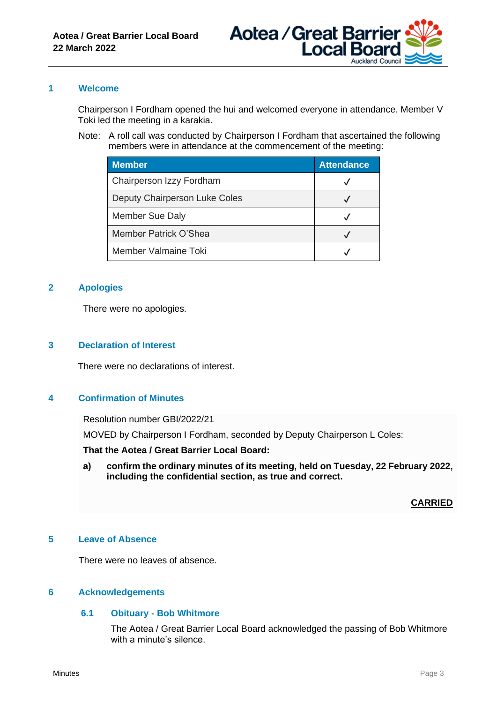

#### **1 Welcome**

Chairperson I Fordham opened the hui and welcomed everyone in attendance. Member V Toki led the meeting in a karakia.

Note: A roll call was conducted by Chairperson I Fordham that ascertained the following members were in attendance at the commencement of the meeting:

| <b>Member</b>                 | <b>Attendance</b> |
|-------------------------------|-------------------|
| Chairperson Izzy Fordham      |                   |
| Deputy Chairperson Luke Coles |                   |
| <b>Member Sue Daly</b>        |                   |
| Member Patrick O'Shea         |                   |
| Member Valmaine Toki          |                   |

#### **2 Apologies**

There were no apologies.

#### **3 Declaration of Interest**

There were no declarations of interest.

# **4 Confirmation of Minutes**

Resolution number GBI/2022/21

MOVED by Chairperson I Fordham, seconded by Deputy Chairperson L Coles:

#### **That the Aotea / Great Barrier Local Board:**

**a) confirm the ordinary minutes of its meeting, held on Tuesday, 22 February 2022, including the confidential section, as true and correct.**

## **CARRIED**

#### **5 Leave of Absence**

There were no leaves of absence.

#### **6 Acknowledgements**

## **6.1 Obituary - Bob Whitmore**

The Aotea / Great Barrier Local Board acknowledged the passing of Bob Whitmore with a minute's silence.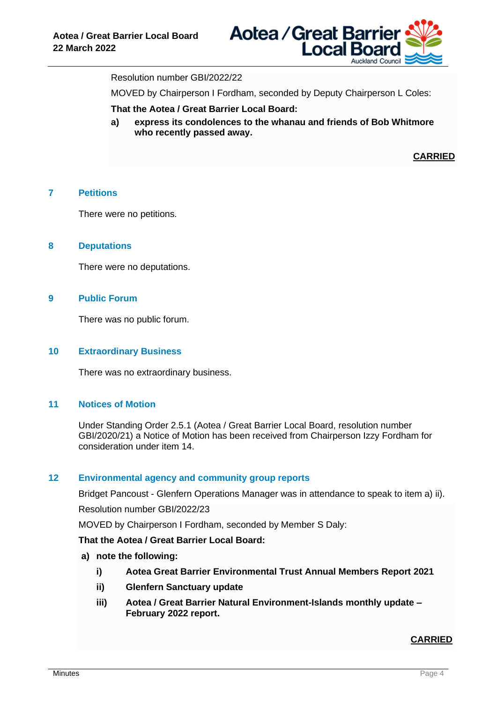

Resolution number GBI/2022/22

MOVED by Chairperson I Fordham, seconded by Deputy Chairperson L Coles:

**That the Aotea / Great Barrier Local Board:**

**a) express its condolences to the whanau and friends of Bob Whitmore who recently passed away.**

**CARRIED**

#### **7 Petitions**

There were no petitions.

#### **8 Deputations**

There were no deputations.

#### **9 Public Forum**

There was no public forum.

#### **10 Extraordinary Business**

There was no extraordinary business.

#### **11 Notices of Motion**

Under Standing Order 2.5.1 (Aotea / Great Barrier Local Board, resolution number GBI/2020/21) a Notice of Motion has been received from Chairperson Izzy Fordham for consideration under item 14.

#### **12 Environmental agency and community group reports**

Bridget Pancoust - Glenfern Operations Manager was in attendance to speak to item a) ii).

Resolution number GBI/2022/23

MOVED by Chairperson I Fordham, seconded by Member S Daly:

#### **That the Aotea / Great Barrier Local Board:**

#### **a) note the following:**

- **i) Aotea Great Barrier Environmental Trust Annual Members Report 2021**
- **ii) Glenfern Sanctuary update**
- **iii) Aotea / Great Barrier Natural Environment-Islands monthly update – February 2022 report.**

## **CARRIED**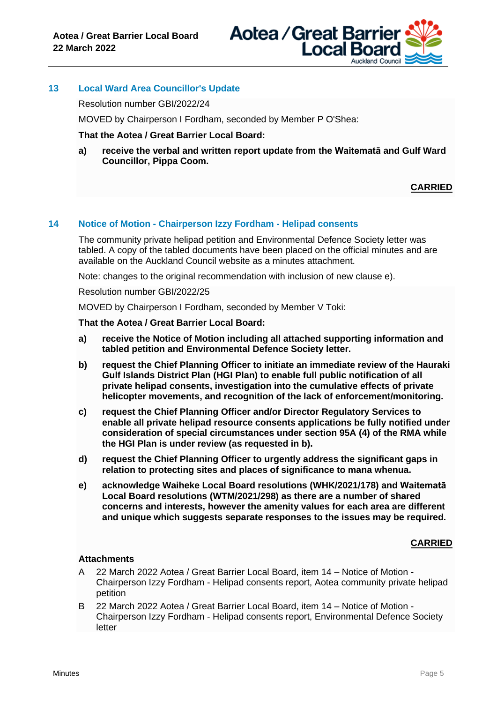

## **13 Local Ward Area Councillor's Update**

Resolution number GBI/2022/24

MOVED by Chairperson I Fordham, seconded by Member P O'Shea:

#### **That the Aotea / Great Barrier Local Board:**

**a) receive the verbal and written report update from the Waitematā and Gulf Ward Councillor, Pippa Coom.**

# **CARRIED**

#### **14 Notice of Motion - Chairperson Izzy Fordham - Helipad consents**

The community private helipad petition and Environmental Defence Society letter was tabled. A copy of the tabled documents have been placed on the official minutes and are available on the Auckland Council website as a minutes attachment.

Note: changes to the original recommendation with inclusion of new clause e).

Resolution number GBI/2022/25

MOVED by Chairperson I Fordham, seconded by Member V Toki:

**That the Aotea / Great Barrier Local Board:**

- **a) receive the Notice of Motion including all attached supporting information and tabled petition and Environmental Defence Society letter.**
- **b) request the Chief Planning Officer to initiate an immediate review of the Hauraki Gulf Islands District Plan (HGI Plan) to enable full public notification of all private helipad consents, investigation into the cumulative effects of private helicopter movements, and recognition of the lack of enforcement/monitoring.**
- **c) request the Chief Planning Officer and/or Director Regulatory Services to enable all private helipad resource consents applications be fully notified under consideration of special circumstances under section 95A (4) of the RMA while the HGI Plan is under review (as requested in b).**
- **d) request the Chief Planning Officer to urgently address the significant gaps in relation to protecting sites and places of significance to mana whenua.**
- **e) acknowledge Waiheke Local Board resolutions (WHK/2021/178) and Waitematā Local Board resolutions (WTM/2021/298) as there are a number of shared concerns and interests, however the amenity values for each area are different and unique which suggests separate responses to the issues may be required.**

## **CARRIED**

#### **Attachments**

- A 22 March 2022 Aotea / Great Barrier Local Board, item 14 Notice of Motion Chairperson Izzy Fordham - Helipad consents report, Aotea community private helipad petition
- B 22 March 2022 Aotea / Great Barrier Local Board, item 14 Notice of Motion Chairperson Izzy Fordham - Helipad consents report, Environmental Defence Society letter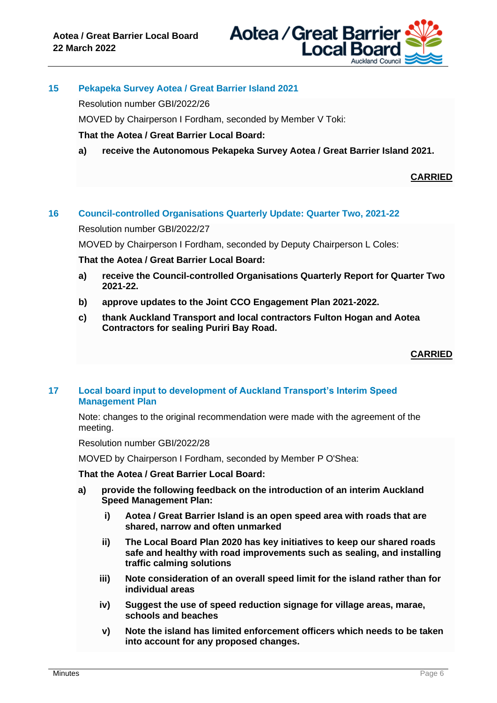

# **15 Pekapeka Survey Aotea / Great Barrier Island 2021**

Resolution number GBI/2022/26

MOVED by Chairperson I Fordham, seconded by Member V Toki:

#### **That the Aotea / Great Barrier Local Board:**

**a) receive the Autonomous Pekapeka Survey Aotea / Great Barrier Island 2021.**

**CARRIED**

## **16 Council-controlled Organisations Quarterly Update: Quarter Two, 2021-22**

Resolution number GBI/2022/27

MOVED by Chairperson I Fordham, seconded by Deputy Chairperson L Coles:

#### **That the Aotea / Great Barrier Local Board:**

- **a) receive the Council-controlled Organisations Quarterly Report for Quarter Two 2021-22.**
- **b) approve updates to the Joint CCO Engagement Plan 2021-2022.**
- **c) thank Auckland Transport and local contractors Fulton Hogan and Aotea Contractors for sealing Puriri Bay Road.**

**CARRIED**

## **17 Local board input to development of Auckland Transport's Interim Speed Management Plan**

Note: changes to the original recommendation were made with the agreement of the meeting.

Resolution number GBI/2022/28

MOVED by Chairperson I Fordham, seconded by Member P O'Shea:

#### **That the Aotea / Great Barrier Local Board:**

- **a) provide the following feedback on the introduction of an interim Auckland Speed Management Plan:**
	- **i) Aotea / Great Barrier Island is an open speed area with roads that are shared, narrow and often unmarked**
	- **ii) The Local Board Plan 2020 has key initiatives to keep our shared roads safe and healthy with road improvements such as sealing, and installing traffic calming solutions**
	- **iii) Note consideration of an overall speed limit for the island rather than for individual areas**
	- **iv) Suggest the use of speed reduction signage for village areas, marae, schools and beaches**
	- **v) Note the island has limited enforcement officers which needs to be taken into account for any proposed changes.**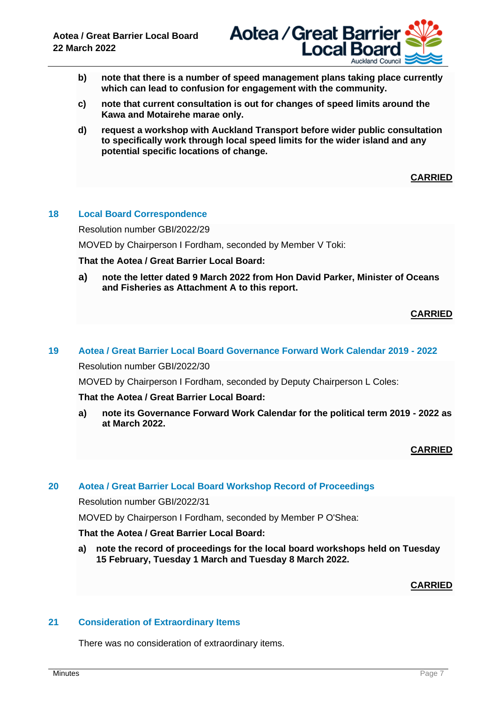

- **b) note that there is a number of speed management plans taking place currently which can lead to confusion for engagement with the community.**
- **c) note that current consultation is out for changes of speed limits around the Kawa and Motairehe marae only.**
- **d) request a workshop with Auckland Transport before wider public consultation to specifically work through local speed limits for the wider island and any potential specific locations of change.**

**CARRIED**

# **18 Local Board Correspondence**

Resolution number GBI/2022/29

MOVED by Chairperson I Fordham, seconded by Member V Toki:

## **That the Aotea / Great Barrier Local Board:**

**a) note the letter dated 9 March 2022 from Hon David Parker, Minister of Oceans and Fisheries as Attachment A to this report.**

# **CARRIED**

## **19 Aotea / Great Barrier Local Board Governance Forward Work Calendar 2019 - 2022**

Resolution number GBI/2022/30

MOVED by Chairperson I Fordham, seconded by Deputy Chairperson L Coles:

## **That the Aotea / Great Barrier Local Board:**

**a) note its Governance Forward Work Calendar for the political term 2019 - 2022 as at March 2022.**

**CARRIED**

## **20 Aotea / Great Barrier Local Board Workshop Record of Proceedings**

Resolution number GBI/2022/31

MOVED by Chairperson I Fordham, seconded by Member P O'Shea:

## **That the Aotea / Great Barrier Local Board:**

**a) note the record of proceedings for the local board workshops held on Tuesday 15 February, Tuesday 1 March and Tuesday 8 March 2022.**

**CARRIED**

## **21 Consideration of Extraordinary Items**

There was no consideration of extraordinary items.